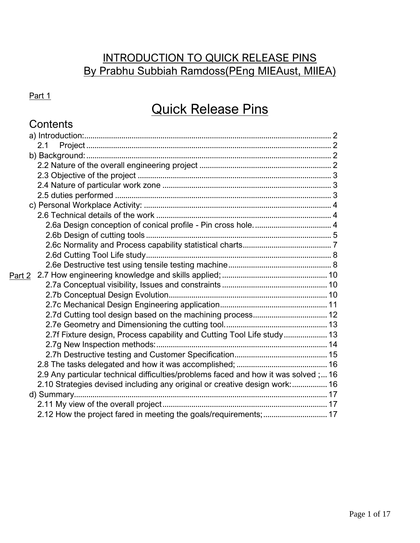## INTRODUCTION TO QUICK RELEASE PINS By Prabhu Subbiah Ramdoss(PEng MIEAust, MIIEA)

## Part 1

# Quick Release Pins

## **Contents**

| 2.1                                                                               |  |
|-----------------------------------------------------------------------------------|--|
|                                                                                   |  |
|                                                                                   |  |
|                                                                                   |  |
|                                                                                   |  |
|                                                                                   |  |
|                                                                                   |  |
|                                                                                   |  |
|                                                                                   |  |
|                                                                                   |  |
|                                                                                   |  |
|                                                                                   |  |
|                                                                                   |  |
|                                                                                   |  |
|                                                                                   |  |
|                                                                                   |  |
|                                                                                   |  |
|                                                                                   |  |
|                                                                                   |  |
| 2.7f Fixture design, Process capability and Cutting Tool Life study 13            |  |
|                                                                                   |  |
|                                                                                   |  |
|                                                                                   |  |
| 2.9 Any particular technical difficulties/problems faced and how it was solved;16 |  |
| 2.10 Strategies devised including any original or creative design work:  16       |  |
|                                                                                   |  |
|                                                                                   |  |
|                                                                                   |  |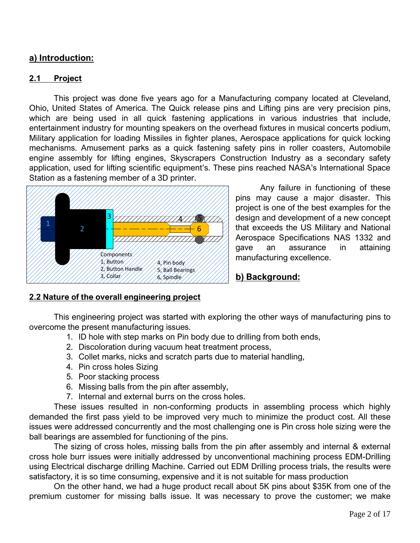### <span id="page-1-0"></span>**a) Introduction:**

#### <span id="page-1-1"></span>**2.1 Project**

This project was done five years ago for a Manufacturing company located at Cleveland, Ohio, United States of America. The Quick release pins and Lifting pins are very precision pins, which are being used in all quick fastening applications in various industries that include, entertainment industry for mounting speakers on the overhead fixtures in musical concerts podium, Military application for loading Missiles in fighter planes, Aerospace applications for quick locking mechanisms. Amusement parks as a quick fastening safety pins in roller coasters, Automobile engine assembly for lifting engines, Skyscrapers Construction Industry as a secondary safety application, used for lifting scientific equipment's. These pins reached NASA's International Space Station as a fastening member of a 3D printer.



Any failure in functioning of these pins may cause a major disaster. This project is one of the best examples for the design and development of a new concept that exceeds the US Military and National Aerospace Specifications NAS 1332 and gave an assurance in attaining manufacturing excellence.

#### <span id="page-1-2"></span>**b) Background:**

#### <span id="page-1-3"></span>**2.2 Nature of the overall engineering project**

This engineering project was started with exploring the other ways of manufacturing pins to overcome the present manufacturing issues.

- 1. ID hole with step marks on Pin body due to drilling from both ends,
- 2. Discoloration during vacuum heat treatment process,
- 3. Collet marks, nicks and scratch parts due to material handling,
- 4. Pin cross holes Sizing
- 5. Poor stacking process
- 6. Missing balls from the pin after assembly,
- 7. Internal and external burrs on the cross holes.

These issues resulted in non-conforming products in assembling process which highly demanded the first pass yield to be improved very much to minimize the product cost. All these issues were addressed concurrently and the most challenging one is Pin cross hole sizing were the ball bearings are assembled for functioning of the pins.

The sizing of cross holes, missing balls from the pin after assembly and internal & external cross hole burr issues were initially addressed by unconventional machining process EDM-Drilling using Electrical discharge drilling Machine. Carried out EDM Drilling process trials, the results were satisfactory, it is so time consuming, expensive and it is not suitable for mass production

On the other hand, we had a huge product recall about 5K pins about \$35K from one of the premium customer for missing balls issue. It was necessary to prove the customer; we make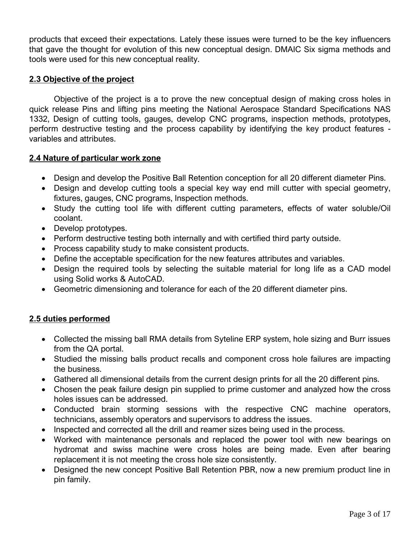products that exceed their expectations. Lately these issues were turned to be the key influencers that gave the thought for evolution of this new conceptual design. DMAIC Six sigma methods and tools were used for this new conceptual reality.

#### <span id="page-2-0"></span>**2.3 Objective of the project**

Objective of the project is a to prove the new conceptual design of making cross holes in quick release Pins and lifting pins meeting the National Aerospace Standard Specifications NAS 1332, Design of cutting tools, gauges, develop CNC programs, inspection methods, prototypes, perform destructive testing and the process capability by identifying the key product features variables and attributes.

#### <span id="page-2-1"></span>**2.4 Nature of particular work zone**

- Design and develop the Positive Ball Retention conception for all 20 different diameter Pins.
- Design and develop cutting tools a special key way end mill cutter with special geometry, fixtures, gauges, CNC programs, Inspection methods.
- Study the cutting tool life with different cutting parameters, effects of water soluble/Oil coolant.
- Develop prototypes.
- Perform destructive testing both internally and with certified third party outside.
- Process capability study to make consistent products.
- Define the acceptable specification for the new features attributes and variables.
- Design the required tools by selecting the suitable material for long life as a CAD model using Solid works & AutoCAD.
- Geometric dimensioning and tolerance for each of the 20 different diameter pins.

#### <span id="page-2-2"></span>**2.5 duties performed**

- Collected the missing ball RMA details from Syteline ERP system, hole sizing and Burr issues from the QA portal.
- Studied the missing balls product recalls and component cross hole failures are impacting the business.
- Gathered all dimensional details from the current design prints for all the 20 different pins.
- Chosen the peak failure design pin supplied to prime customer and analyzed how the cross holes issues can be addressed.
- Conducted brain storming sessions with the respective CNC machine operators, technicians, assembly operators and supervisors to address the issues.
- Inspected and corrected all the drill and reamer sizes being used in the process.
- Worked with maintenance personals and replaced the power tool with new bearings on hydromat and swiss machine were cross holes are being made. Even after bearing replacement it is not meeting the cross hole size consistently.
- Designed the new concept Positive Ball Retention PBR, now a new premium product line in pin family.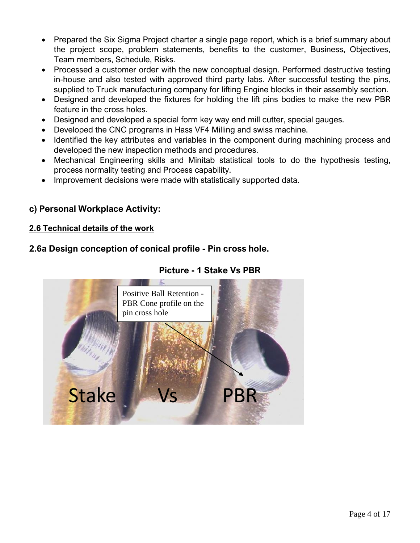- Prepared the Six Sigma Project charter a single page report, which is a brief summary about the project scope, problem statements, benefits to the customer, Business, Objectives, Team members, Schedule, Risks.
- Processed a customer order with the new conceptual design. Performed destructive testing in-house and also tested with approved third party labs. After successful testing the pins, supplied to Truck manufacturing company for lifting Engine blocks in their assembly section.
- Designed and developed the fixtures for holding the lift pins bodies to make the new PBR feature in the cross holes.
- Designed and developed a special form key way end mill cutter, special gauges.
- Developed the CNC programs in Hass VF4 Milling and swiss machine.
- Identified the key attributes and variables in the component during machining process and developed the new inspection methods and procedures.
- Mechanical Engineering skills and Minitab statistical tools to do the hypothesis testing, process normality testing and Process capability.
- Improvement decisions were made with statistically supported data.

## <span id="page-3-0"></span>**c) Personal Workplace Activity:**

#### <span id="page-3-1"></span>**2.6 Technical details of the work**

## <span id="page-3-2"></span>**2.6a Design conception of conical profile - Pin cross hole.**

## **Picture - 1 Stake Vs PBR**

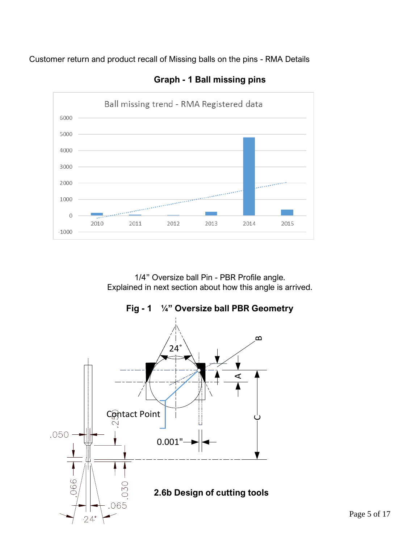Customer return and product recall of Missing balls on the pins - RMA Details



**Graph - 1 Ball missing pins**

<span id="page-4-0"></span>1/4" Oversize ball Pin - PBR Profile angle. Explained in next section about how this angle is arrived.

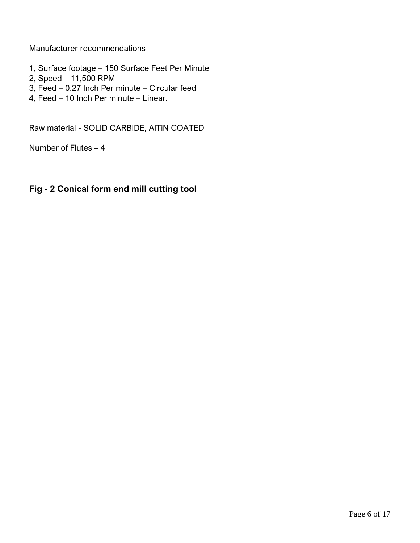Manufacturer recommendations

- 1, Surface footage 150 Surface Feet Per Minute
- 2, Speed 11,500 RPM
- 3, Feed 0.27 Inch Per minute Circular feed
- 4, Feed 10 Inch Per minute Linear.

Raw material - SOLID CARBIDE, AlTiN COATED

Number of Flutes – 4

### **Fig - 2 Conical form end mill cutting tool**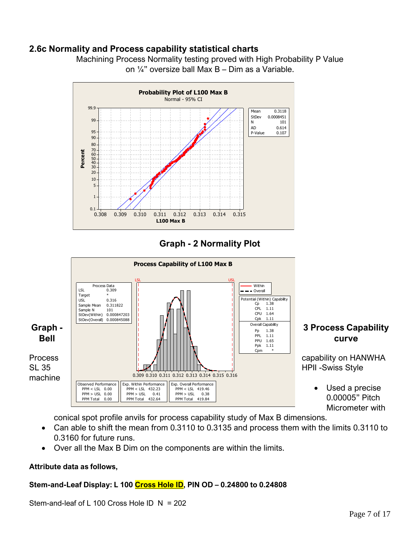#### <span id="page-6-0"></span>**2.6c Normality and Process capability statistical charts**



Machining Process Normality testing proved with High Probability P Value on ¼" oversize ball Max B – Dim as a Variable.

## **Graph - 2 Normality Plot**



conical spot profile anvils for process capability study of Max B dimensions.

- Can able to shift the mean from 0.3110 to 0.3135 and process them with the limits 0.3110 to 0.3160 for future runs.
- Over all the Max B Dim on the components are within the limits.

#### **Attribute data as follows,**

#### **Stem-and-Leaf Display: L 100 Cross Hole ID, PIN OD – 0.24800 to 0.24808**

Stem-and-leaf of L 100 Cross Hole ID N = 202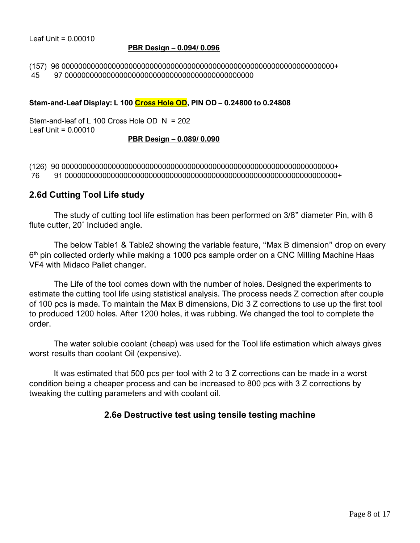Leaf Unit  $= 0.00010$ 

#### **PBR Design – 0.094/ 0.096**

(157) 96 00000000000000000000000000000000000000000000000000000000000000000+ 45 97 000000000000000000000000000000000000000000000

#### **Stem-and-Leaf Display: L 100 Cross Hole OD, PIN OD – 0.24800 to 0.24808**

Stem-and-leaf of L 100 Cross Hole OD N = 202  $Leaf$  Unit = 0.00010

#### **PBR Design – 0.089/ 0.090**

(126) 90 00000000000000000000000000000000000000000000000000000000000000000+ 76 91 00000000000000000000000000000000000000000000000000000000000000000+

#### <span id="page-7-0"></span>**2.6d Cutting Tool Life study**

The study of cutting tool life estimation has been performed on 3/8" diameter Pin, with 6 flute cutter, 20˚ Included angle.

The below Table1 & Table2 showing the variable feature, "Max B dimension" drop on every 6<sup>th</sup> pin collected orderly while making a 1000 pcs sample order on a CNC Milling Machine Haas VF4 with Midaco Pallet changer.

The Life of the tool comes down with the number of holes. Designed the experiments to estimate the cutting tool life using statistical analysis. The process needs Z correction after couple of 100 pcs is made. To maintain the Max B dimensions, Did 3 Z corrections to use up the first tool to produced 1200 holes. After 1200 holes, it was rubbing. We changed the tool to complete the order.

The water soluble coolant (cheap) was used for the Tool life estimation which always gives worst results than coolant Oil (expensive).

<span id="page-7-1"></span>It was estimated that 500 pcs per tool with 2 to 3 Z corrections can be made in a worst condition being a cheaper process and can be increased to 800 pcs with 3 Z corrections by tweaking the cutting parameters and with coolant oil.

#### **2.6e Destructive test using tensile testing machine**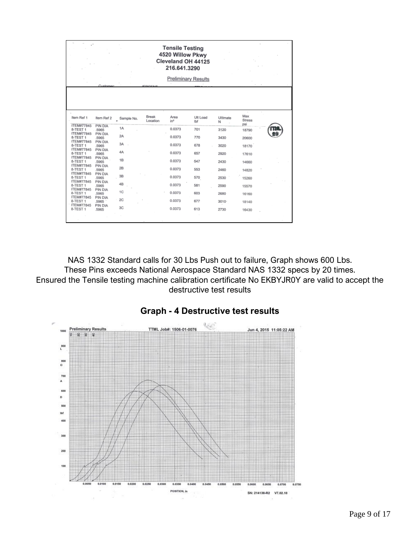|                                          |                       | <b>Tensile Testing</b><br>4520 Willow Pkwy<br>Cleveland OH 44125<br>216.641.3290 |                          |                |                            |               |                      |  |
|------------------------------------------|-----------------------|----------------------------------------------------------------------------------|--------------------------|----------------|----------------------------|---------------|----------------------|--|
|                                          |                       |                                                                                  |                          |                | <b>Preliminary Results</b> |               |                      |  |
|                                          | Customer              |                                                                                  | <b>ICO OCHA</b>          |                |                            |               |                      |  |
| Item Ref 1<br><b>ITEM#77845</b>          | Item Ref 2<br>PIN DIA | Sample No.                                                                       | <b>Break</b><br>Location | Area<br>$in^2$ | Ult Load<br>lbf            | Ultimate<br>N | Max<br>Stress<br>psi |  |
| 8-TEST 1                                 | .5965                 | 1A                                                                               |                          | 0.0373         | 701                        | 3120          | 18790                |  |
| ITEM#77845<br>8-TEST 1                   | PIN DIA<br>.5965      | 2A                                                                               |                          | 0.0373         | 770                        | 3430          | 20600                |  |
| <b>ITEM#77845</b><br>8-TEST <sub>1</sub> | PIN DIA<br>.5965      | 3A                                                                               |                          | 0.0373         | 678                        | 3020          | 18170                |  |
| <b>ITEM#77845</b><br>8-TEST 1            | PIN DIA<br>.5965      | 4A                                                                               |                          | 0.0373         | 657                        | 2920          | 17610                |  |
| <b>ITEM#77845</b><br>8-TEST <sub>1</sub> | PIN DIA<br>.5965      | 1B                                                                               |                          | 0.0373         | 547                        | 2430          | 14660                |  |
| <b>ITEM#77845</b><br>8-TEST 1            | PIN DIA<br>.5965      | 2B                                                                               |                          | 0.0373         | 553                        | 2460          | 14820                |  |
| <b>ITEM#77845</b><br>8-TEST <sub>1</sub> | PIN DIA<br>.5965      | 3B                                                                               |                          | 0.0373         | 570                        | 2530          | 15260                |  |
| <b>ITEM#77845</b><br>8-TEST 1            | PIN DIA<br>.5965      | 4B                                                                               |                          | 0.0373         | 581                        | 2590          | 15570                |  |
| <b>ITEM#77845</b><br>8-TEST <sub>1</sub> | PIN DIA<br>.5965      | 1C                                                                               |                          | 0.0373         | 603                        | 2680          | 16160                |  |
| ITEM#77845<br>8-TEST 1                   | PIN DIA<br>.5965      | 2C                                                                               |                          | 0.0373         | 677                        | $3010 -$      | 18140                |  |
| ITEM#77845<br>8-TEST <sub>1</sub>        | PIN DIA<br>.5965      | 3C                                                                               |                          | 0.0373         | 613                        | 2730          | 16430                |  |
|                                          |                       |                                                                                  |                          |                |                            |               |                      |  |

NAS 1332 Standard calls for 30 Lbs Push out to failure, Graph shows 600 Lbs. These Pins exceeds National Aerospace Standard NAS 1332 specs by 20 times. Ensured the Tensile testing machine calibration certificate No EKBYJR0Y are valid to accept the destructive test results



#### **Graph - 4 Destructive test results**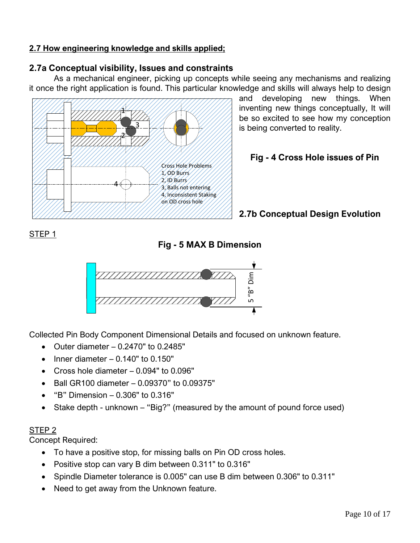#### <span id="page-9-0"></span>**2.7 How engineering knowledge and skills applied;**

## <span id="page-9-1"></span>**2.7a Conceptual visibility, Issues and constraints**

As a mechanical engineer, picking up concepts while seeing any mechanisms and realizing it once the right application is found. This particular knowledge and skills will always help to design



and developing new things. When inventing new things conceptually, It will be so excited to see how my conception is being converted to reality.

## **Fig - 4 Cross Hole issues of Pin**

## <span id="page-9-2"></span>**2.7b Conceptual Design Evolution**

## STEP 1

**Fig - 5 MAX B Dimension**



Collected Pin Body Component Dimensional Details and focused on unknown feature.

- Outer diameter 0.2470" to 0.2485"
- Inner diameter  $-0.140$ " to  $0.150$ "
- Cross hole diameter 0.094" to 0.096"
- Ball GR100 diameter 0.09370" to 0.09375"
- "B" Dimension 0.306" to 0.316"
- Stake depth unknown "Big?" (measured by the amount of pound force used)

### STEP 2

Concept Required:

- To have a positive stop, for missing balls on Pin OD cross holes.
- Positive stop can vary B dim between 0.311" to 0.316"
- Spindle Diameter tolerance is 0.005" can use B dim between 0.306" to 0.311"
- Need to get away from the Unknown feature.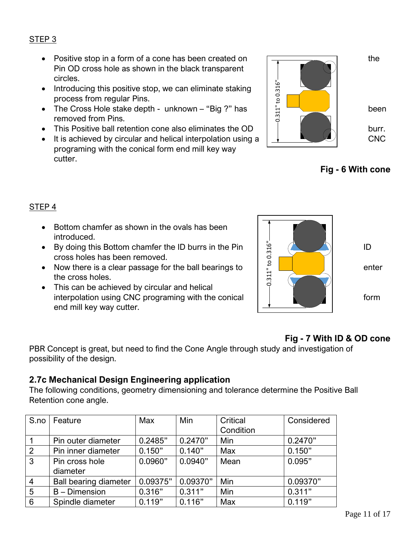#### STEP 3

- Positive stop in a form of a cone has been created on  $\sqrt{1-\frac{1}{\sqrt{1-\frac{1}{\sqrt{1-\frac{1}{\sqrt{1-\frac{1}{\sqrt{1-\frac{1}{\sqrt{1-\frac{1}{\sqrt{1-\frac{1}{\sqrt{1-\frac{1}{\sqrt{1-\frac{1}{\sqrt{1-\frac{1}{\sqrt{1-\frac{1}{\sqrt{1-\frac{1}{\sqrt{1-\frac{1}{\sqrt{1-\frac{1}{\sqrt{1-\frac{1}{\sqrt{1-\frac{1}{\sqrt{1-\frac{1}{\sqrt{1-\frac{1}{\sqrt$ Pin OD cross hole as shown in the black transparent circles.
- Introducing this positive stop, we can eliminate staking process from regular Pins.
- removed from Pins.
- This Positive ball retention cone also eliminates the OD  $\Box$
- It is achieved by circular and helical interpolation using a  $\left| \begin{array}{cc} \downarrow \end{array} \right|$ programing with the conical form end mill key way cutter.



**Fig - 6 With cone**

### STEP 4

- Bottom chamfer as shown in the ovals has been introduced.
- cross holes has been removed.
- Now there is a clear passage for the ball bearings to  $\frac{1}{2}$   $\frac{1}{2}$   $\frac{1}{2}$  | enter the cross holes.
- This can be achieved by circular and helical interpolation using CNC programing with the conical  $\begin{array}{ccc} \vert & \vert & \vert & \vert \end{array}$  form end mill key way cutter.



## **Fig - 7 With ID & OD cone**

PBR Concept is great, but need to find the Cone Angle through study and investigation of possibility of the design.

### <span id="page-10-0"></span>**2.7c Mechanical Design Engineering application**

The following conditions, geometry dimensioning and tolerance determine the Positive Ball Retention cone angle.

| S.no           | Feature                      | Max      | Min      | Critical  | Considered |
|----------------|------------------------------|----------|----------|-----------|------------|
|                |                              |          |          | Condition |            |
|                | Pin outer diameter           | 0.2485"  | 0.2470"  | Min       | 0.2470"    |
| 2              | Pin inner diameter           | 0.150"   | 0.140"   | Max       | 0.150"     |
| $\mathbf{3}$   | Pin cross hole               | 0.0960"  | 0.0940"  | Mean      | 0.095"     |
|                | diameter                     |          |          |           |            |
| $\overline{4}$ | <b>Ball bearing diameter</b> | 0.09375" | 0.09370" | Min       | 0.09370"   |
| $5\phantom{.}$ | $B -$ Dimension              | 0.316"   | 0.311"   | Min       | 0.311"     |
| 6              | Spindle diameter             | 0.119"   | 0.116"   | Max       | 0.119"     |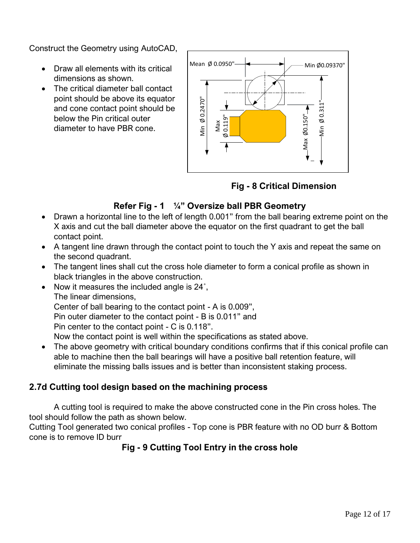Construct the Geometry using AutoCAD,

- Draw all elements with its critical dimensions as shown.
- The critical diameter ball contact point should be above its equator and cone contact point should be below the Pin critical outer diameter to have PBR cone.



**Fig - 8 Critical Dimension**

## **Refer Fig - 1 ¼" Oversize ball PBR Geometry**

- Drawn a horizontal line to the left of length 0.001" from the ball bearing extreme point on the X axis and cut the ball diameter above the equator on the first quadrant to get the ball contact point.
- A tangent line drawn through the contact point to touch the Y axis and repeat the same on the second quadrant.
- The tangent lines shall cut the cross hole diameter to form a conical profile as shown in black triangles in the above construction.
- Now it measures the included angle is 24°, The linear dimensions, Center of ball bearing to the contact point - A is 0.009", Pin outer diameter to the contact point - B is 0.011" and Pin center to the contact point - C is 0.118". Now the contact point is well within the specifications as stated above.
- The above geometry with critical boundary conditions confirms that if this conical profile can able to machine then the ball bearings will have a positive ball retention feature, will eliminate the missing balls issues and is better than inconsistent staking process.

## <span id="page-11-0"></span>**2.7d Cutting tool design based on the machining process**

A cutting tool is required to make the above constructed cone in the Pin cross holes. The tool should follow the path as shown below.

Cutting Tool generated two conical profiles - Top cone is PBR feature with no OD burr & Bottom cone is to remove ID burr

## **Fig - 9 Cutting Tool Entry in the cross hole**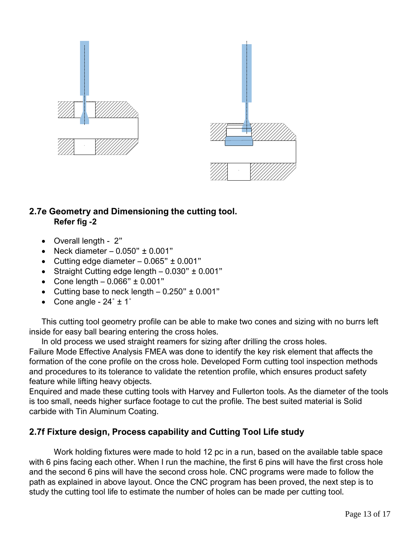

## <span id="page-12-0"></span>**2.7e Geometry and Dimensioning the cutting tool. Refer fig -2**

- Overall length 2"
- Neck diameter  $-0.050$ "  $\pm 0.001$ "
- Cutting edge diameter  $-0.065$ "  $\pm 0.001$ "
- Straight Cutting edge length 0.030" ± 0.001"
- Cone length  $-0.066$ "  $\pm 0.001$ "
- Cutting base to neck length  $-0.250" \pm 0.001"$
- Cone angle  $24^\circ \pm 1^\circ$

This cutting tool geometry profile can be able to make two cones and sizing with no burrs left inside for easy ball bearing entering the cross holes.

In old process we used straight reamers for sizing after drilling the cross holes.

Failure Mode Effective Analysis FMEA was done to identify the key risk element that affects the formation of the cone profile on the cross hole. Developed Form cutting tool inspection methods and procedures to its tolerance to validate the retention profile, which ensures product safety feature while lifting heavy objects.

Enquired and made these cutting tools with Harvey and Fullerton tools. As the diameter of the tools is too small, needs higher surface footage to cut the profile. The best suited material is Solid carbide with Tin Aluminum Coating.

## <span id="page-12-1"></span>**2.7f Fixture design, Process capability and Cutting Tool Life study**

Work holding fixtures were made to hold 12 pc in a run, based on the available table space with 6 pins facing each other. When I run the machine, the first 6 pins will have the first cross hole and the second 6 pins will have the second cross hole. CNC programs were made to follow the path as explained in above layout. Once the CNC program has been proved, the next step is to study the cutting tool life to estimate the number of holes can be made per cutting tool.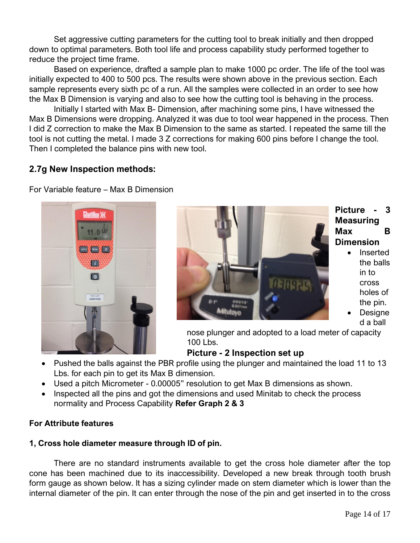Set aggressive cutting parameters for the cutting tool to break initially and then dropped down to optimal parameters. Both tool life and process capability study performed together to reduce the project time frame.

Based on experience, drafted a sample plan to make 1000 pc order. The life of the tool was initially expected to 400 to 500 pcs. The results were shown above in the previous section. Each sample represents every sixth pc of a run. All the samples were collected in an order to see how the Max B Dimension is varying and also to see how the cutting tool is behaving in the process.

Initially I started with Max B- Dimension, after machining some pins, I have witnessed the Max B Dimensions were dropping. Analyzed it was due to tool wear happened in the process. Then I did Z correction to make the Max B Dimension to the same as started. I repeated the same till the tool is not cutting the metal. I made 3 Z corrections for making 600 pins before I change the tool. Then I completed the balance pins with new tool.

## <span id="page-13-0"></span>**2.7g New Inspection methods:**

For Variable feature – Max B Dimension





### **Picture - 3 Measuring Max B Dimension**

- **Inserted** the balls in to cross holes of the pin.
- **Designe** d a ball

nose plunger and adopted to a load meter of capacity 100 Lbs.

### **Picture - 2 Inspection set up**

- Pushed the balls against the PBR profile using the plunger and maintained the load 11 to 13 Lbs. for each pin to get its Max B dimension.
- Used a pitch Micrometer 0.00005" resolution to get Max B dimensions as shown.
- Inspected all the pins and got the dimensions and used Minitab to check the process normality and Process Capability **Refer Graph 2 & 3**

### **For Attribute features**

## **1, Cross hole diameter measure through ID of pin.**

There are no standard instruments available to get the cross hole diameter after the top cone has been machined due to its inaccessibility. Developed a new break through tooth brush form gauge as shown below. It has a sizing cylinder made on stem diameter which is lower than the internal diameter of the pin. It can enter through the nose of the pin and get inserted in to the cross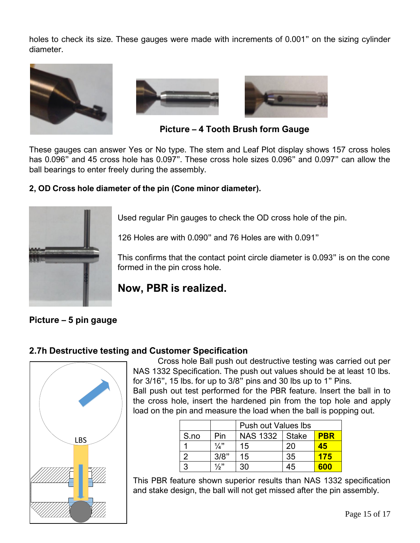holes to check its size. These gauges were made with increments of 0.001" on the sizing cylinder diameter.





**Picture – 4 Tooth Brush form Gauge**

These gauges can answer Yes or No type. The stem and Leaf Plot display shows 157 cross holes has 0.096" and 45 cross hole has 0.097". These cross hole sizes 0.096" and 0.097" can allow the ball bearings to enter freely during the assembly.

#### **2, OD Cross hole diameter of the pin (Cone minor diameter).**



Used regular Pin gauges to check the OD cross hole of the pin.

126 Holes are with 0.090" and 76 Holes are with 0.091"

This confirms that the contact point circle diameter is 0.093" is on the cone formed in the pin cross hole.

## **Now, PBR is realized.**

### **Picture – 5 pin gauge**

### <span id="page-14-0"></span>**2.7h Destructive testing and Customer Specification**



Cross hole Ball push out destructive testing was carried out per NAS 1332 Specification. The push out values should be at least 10 lbs. for 3/16", 15 lbs. for up to 3/8" pins and 30 lbs up to 1" Pins.

Ball push out test performed for the PBR feature. Insert the ball in to the cross hole, insert the hardened pin from the top hole and apply load on the pin and measure the load when the ball is popping out.

|      |                 | <b>Push out Values Ibs</b> |       |            |  |  |
|------|-----------------|----------------------------|-------|------------|--|--|
| S.no | Pin             | <b>NAS 1332</b>            | Stake | <b>PBR</b> |  |  |
|      | $1/a$ "         | 15                         | 20    | 45         |  |  |
|      | 3/8"            | 15                         | 35    | 175        |  |  |
|      | $\frac{1}{2}$ " | 30                         | 45    | 600        |  |  |

This PBR feature shown superior results than NAS 1332 specification and stake design, the ball will not get missed after the pin assembly.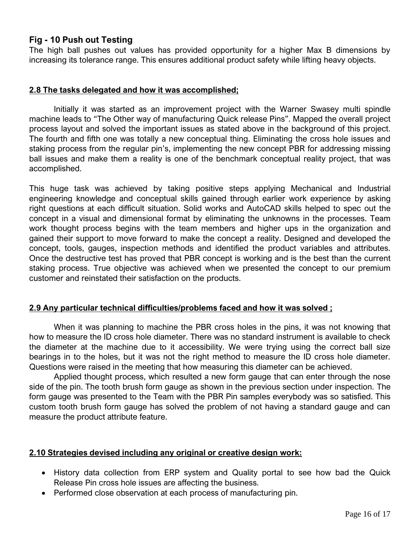#### **Fig - 10 Push out Testing**

The high ball pushes out values has provided opportunity for a higher Max B dimensions by increasing its tolerance range. This ensures additional product safety while lifting heavy objects.

#### <span id="page-15-0"></span>**2.8 The tasks delegated and how it was accomplished;**

Initially it was started as an improvement project with the Warner Swasey multi spindle machine leads to "The Other way of manufacturing Quick release Pins". Mapped the overall project process layout and solved the important issues as stated above in the background of this project. The fourth and fifth one was totally a new conceptual thing. Eliminating the cross hole issues and staking process from the regular pin's, implementing the new concept PBR for addressing missing ball issues and make them a reality is one of the benchmark conceptual reality project, that was accomplished.

This huge task was achieved by taking positive steps applying Mechanical and Industrial engineering knowledge and conceptual skills gained through earlier work experience by asking right questions at each difficult situation. Solid works and AutoCAD skills helped to spec out the concept in a visual and dimensional format by eliminating the unknowns in the processes. Team work thought process begins with the team members and higher ups in the organization and gained their support to move forward to make the concept a reality. Designed and developed the concept, tools, gauges, inspection methods and identified the product variables and attributes. Once the destructive test has proved that PBR concept is working and is the best than the current staking process. True objective was achieved when we presented the concept to our premium customer and reinstated their satisfaction on the products.

#### <span id="page-15-1"></span>**2.9 Any particular technical difficulties/problems faced and how it was solved ;**

When it was planning to machine the PBR cross holes in the pins, it was not knowing that how to measure the ID cross hole diameter. There was no standard instrument is available to check the diameter at the machine due to it accessibility. We were trying using the correct ball size bearings in to the holes, but it was not the right method to measure the ID cross hole diameter. Questions were raised in the meeting that how measuring this diameter can be achieved.

Applied thought process, which resulted a new form gauge that can enter through the nose side of the pin. The tooth brush form gauge as shown in the previous section under inspection. The form gauge was presented to the Team with the PBR Pin samples everybody was so satisfied. This custom tooth brush form gauge has solved the problem of not having a standard gauge and can measure the product attribute feature.

#### <span id="page-15-2"></span>**2.10 Strategies devised including any original or creative design work:**

- History data collection from ERP system and Quality portal to see how bad the Quick Release Pin cross hole issues are affecting the business.
- Performed close observation at each process of manufacturing pin.